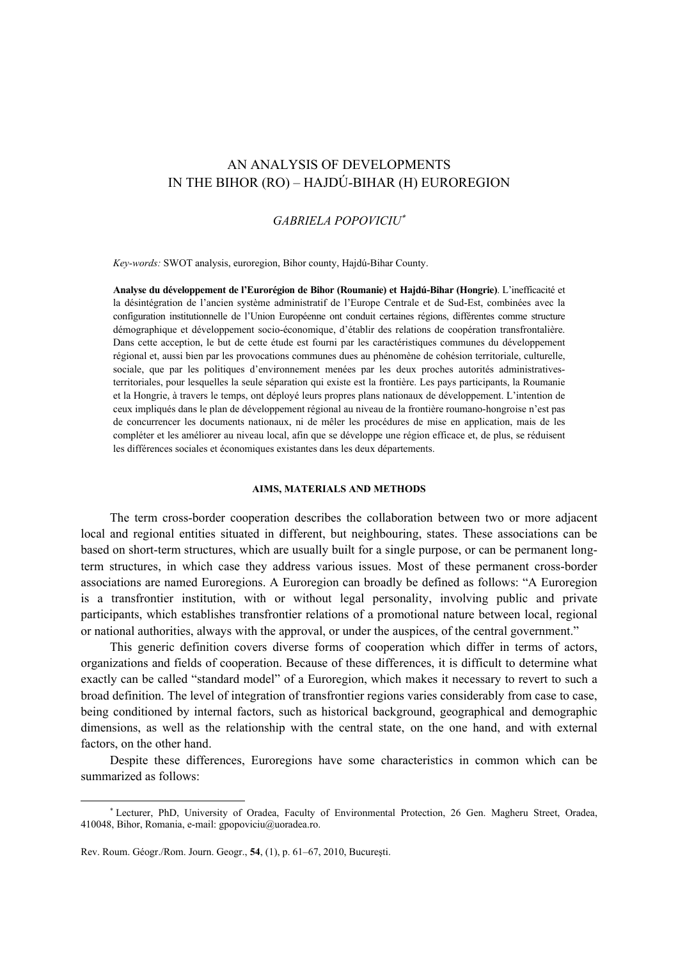# AN ANALYSIS OF DEVELOPMENTS IN THE BIHOR (RO) – HAJDÚ-BIHAR (H) EUROREGION

## *GABRIELA POPOVICIU*<sup>∗</sup>

*Key-words:* SWOT analysis, euroregion, Bihor county, Hajdú-Bihar County.

**Analyse du développement de l'Eurorégion de Bihor (Roumanie) et Hajdú-Bihar (Hongrie)**. L'inefficacité et la désintégration de l'ancien système administratif de l'Europe Centrale et de Sud-Est, combinées avec la configuration institutionnelle de l'Union Européenne ont conduit certaines régions, différentes comme structure démographique et développement socio-économique, d'établir des relations de coopération transfrontalière. Dans cette acception, le but de cette étude est fourni par les caractéristiques communes du développement régional et, aussi bien par les provocations communes dues au phénomène de cohésion territoriale, culturelle, sociale, que par les politiques d'environnement menées par les deux proches autorités administrativesterritoriales, pour lesquelles la seule séparation qui existe est la frontière. Les pays participants, la Roumanie et la Hongrie, à travers le temps, ont déployé leurs propres plans nationaux de développement. L'intention de ceux impliqués dans le plan de développement régional au niveau de la frontière roumano-hongroise n'est pas de concurrencer les documents nationaux, ni de mêler les procédures de mise en application, mais de les compléter et les améliorer au niveau local, afin que se développe une région efficace et, de plus, se réduisent les différences sociales et économiques existantes dans les deux départements.

#### **AIMS, MATERIALS AND METHODS**

The term cross-border cooperation describes the collaboration between two or more adjacent local and regional entities situated in different, but neighbouring, states. These associations can be based on short-term structures, which are usually built for a single purpose, or can be permanent longterm structures, in which case they address various issues. Most of these permanent cross-border associations are named Euroregions. A Euroregion can broadly be defined as follows: "A Euroregion is a transfrontier institution, with or without legal personality, involving public and private participants, which establishes transfrontier relations of a promotional nature between local, regional or national authorities, always with the approval, or under the auspices, of the central government."

This generic definition covers diverse forms of cooperation which differ in terms of actors, organizations and fields of cooperation. Because of these differences, it is difficult to determine what exactly can be called "standard model" of a Euroregion, which makes it necessary to revert to such a broad definition. The level of integration of transfrontier regions varies considerably from case to case, being conditioned by internal factors, such as historical background, geographical and demographic dimensions, as well as the relationship with the central state, on the one hand, and with external factors, on the other hand.

Despite these differences, Euroregions have some characteristics in common which can be summarized as follows:

 $\overline{a}$ 

<sup>∗</sup> Lecturer, PhD, University of Oradea, Faculty of Environmental Protection, 26 Gen. Magheru Street, Oradea, 410048, Bihor, Romania, e-mail: gpopoviciu@uoradea.ro.

Rev. Roum. Géogr./Rom. Journ. Geogr., **54**, (1), p. 61–67, 2010, Bucureşti.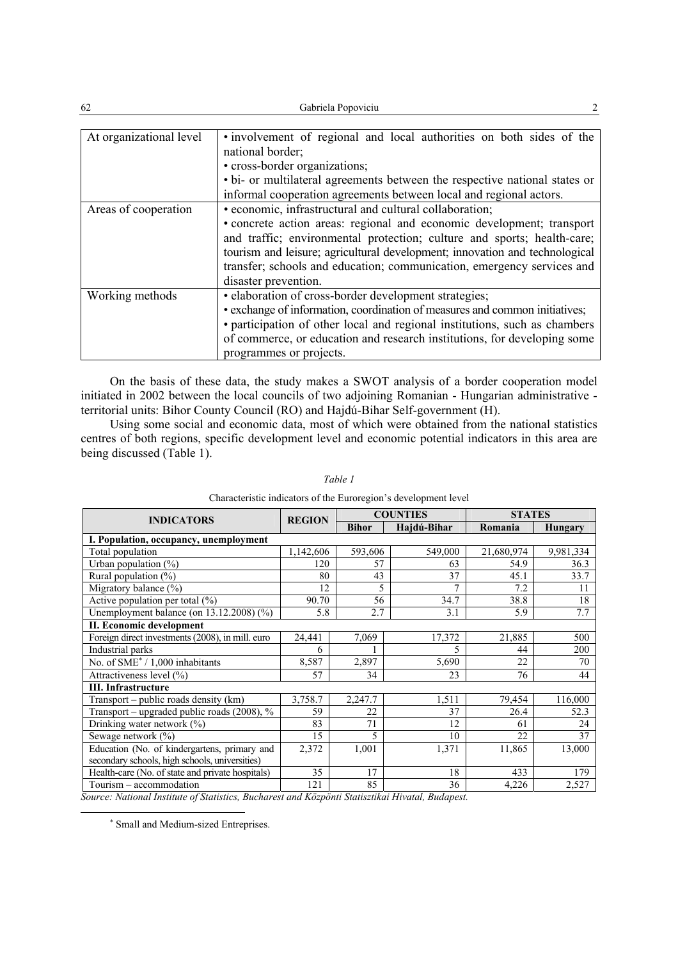| 62                      | Gabriela Popoviciu                                                          |
|-------------------------|-----------------------------------------------------------------------------|
|                         |                                                                             |
| At organizational level | . involvement of regional and local authorities on both sides of the        |
|                         | national border;                                                            |
|                         | • cross-border organizations;                                               |
|                         | • bi- or multilateral agreements between the respective national states or  |
|                         | informal cooperation agreements between local and regional actors.          |
| Areas of cooperation    | • economic, infrastructural and cultural collaboration;                     |
|                         | • concrete action areas: regional and economic development; transport       |
|                         | and traffic; environmental protection; culture and sports; health-care;     |
|                         | tourism and leisure; agricultural development; innovation and technological |
|                         | transfer; schools and education; communication, emergency services and      |
|                         | disaster prevention.                                                        |
| Working methods         | · elaboration of cross-border development strategies;                       |
|                         | • exchange of information, coordination of measures and common initiatives; |
|                         | • participation of other local and regional institutions, such as chambers  |
|                         | of commerce, or education and research institutions, for developing some    |
|                         | programmes or projects.                                                     |

On the basis of these data, the study makes a SWOT analysis of a border cooperation model initiated in 2002 between the local councils of two adjoining Romanian - Hungarian administrative territorial units: Bihor County Council (RO) and Hajdú-Bihar Self-government (H).

Using some social and economic data, most of which were obtained from the national statistics centres of both regions, specific development level and economic potential indicators in this area are being discussed (Table 1).

| <b>INDICATORS</b>                                | <b>REGION</b> | <b>COUNTIES</b> |                | <b>STATES</b> |                |  |
|--------------------------------------------------|---------------|-----------------|----------------|---------------|----------------|--|
|                                                  |               | <b>Bihor</b>    | Hajdú-Bihar    | Romania       | <b>Hungary</b> |  |
| I. Population, occupancy, unemployment           |               |                 |                |               |                |  |
| Total population                                 | 1,142,606     | 593,606         | 549,000        | 21,680,974    | 9,981,334      |  |
| Urban population $(\%)$                          | 120           | 57              | 63             | 54.9          | 36.3           |  |
| Rural population $(\%)$                          | 80            | 43              | 37             | 45.1          | 33.7           |  |
| Migratory balance (%)                            | 12            | 5               | $\overline{7}$ | 7.2           | 11             |  |
| Active population per total $(\% )$              | 90.70         | 56              | 34.7           | 38.8          | 18             |  |
| Unemployment balance (on $13.12.2008$ ) $(\%)$   | 5.8           | 2.7             | 3.1            | 5.9           | 7.7            |  |
| II. Economic development                         |               |                 |                |               |                |  |
| Foreign direct investments (2008), in mill. euro | 24,441        | 7,069           | 17,372         | 21,885        | 500            |  |
| Industrial parks                                 | 6             |                 | 5              | 44            | 200            |  |
| No. of SME <sup>*</sup> / 1,000 inhabitants      | 8,587         | 2,897           | 5,690          | 22            | 70             |  |
| Attractiveness level (%)                         | 57            | 34              | 23             | 76            | 44             |  |
| <b>III.</b> Infrastructure                       |               |                 |                |               |                |  |
| Transport - public roads density (km)            | 3,758.7       | 2,247.7         | 1,511          | 79,454        | 116,000        |  |
| Transport - upgraded public roads (2008), %      | 59            | 22              | 37             | 26.4          | 52.3           |  |
| Drinking water network (%)                       | 83            | 71              | 12             | 61            | 24             |  |
| Sewage network $(\% )$                           | 15            | 5               | 10             | 22            | 37             |  |
| Education (No. of kindergartens, primary and     | 2,372         | 1,001           | 1,371          | 11,865        | 13,000         |  |
| secondary schools, high schools, universities)   |               |                 |                |               |                |  |
| Health-care (No. of state and private hospitals) | 35            | 17              | 18             | 433           | 179            |  |
| Tourism - accommodation                          | 121           | 85              | 36             | 4,226         | 2,527          |  |

*Table 1*  Characteristic indicators of the Euroregion's development level

*Source: National Institute of Statistics, Bucharest and Közpönti Statisztikai Hivatal, Budapest.*

∗ Small and Medium-sized Entreprises.

 $\overline{a}$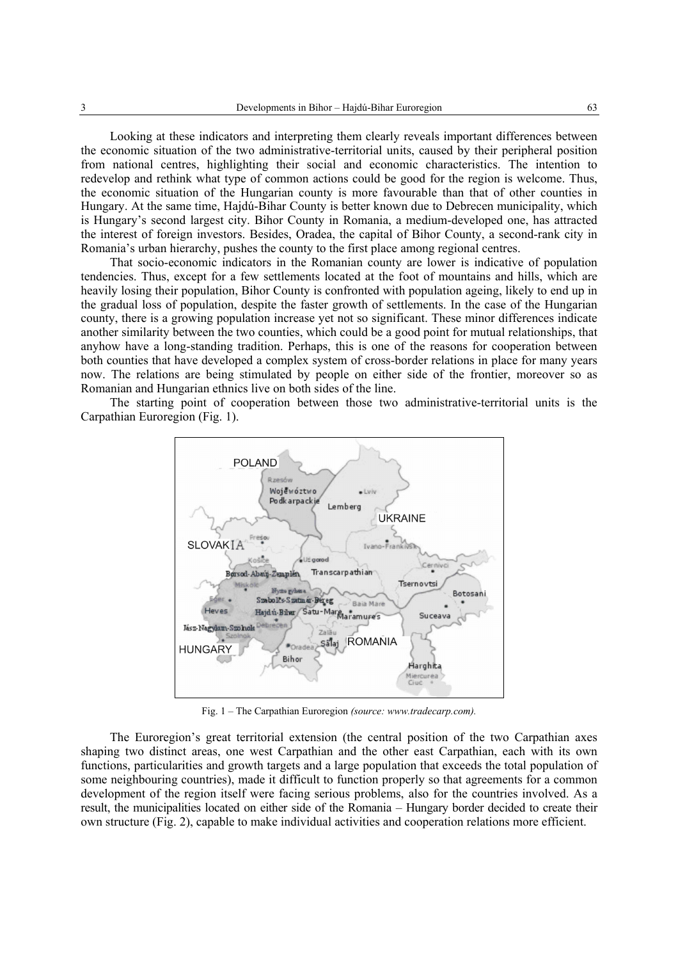Looking at these indicators and interpreting them clearly reveals important differences between the economic situation of the two administrative-territorial units, caused by their peripheral position from national centres, highlighting their social and economic characteristics. The intention to redevelop and rethink what type of common actions could be good for the region is welcome. Thus, the economic situation of the Hungarian county is more favourable than that of other counties in Hungary. At the same time, Hajdú-Bihar County is better known due to Debrecen municipality, which is Hungary's second largest city. Bihor County in Romania, a medium-developed one, has attracted the interest of foreign investors. Besides, Oradea, the capital of Bihor County, a second-rank city in Romania's urban hierarchy, pushes the county to the first place among regional centres.

That socio-economic indicators in the Romanian county are lower is indicative of population tendencies. Thus, except for a few settlements located at the foot of mountains and hills, which are heavily losing their population, Bihor County is confronted with population ageing, likely to end up in the gradual loss of population, despite the faster growth of settlements. In the case of the Hungarian county, there is a growing population increase yet not so significant. These minor differences indicate another similarity between the two counties, which could be a good point for mutual relationships, that anyhow have a long-standing tradition. Perhaps, this is one of the reasons for cooperation between both counties that have developed a complex system of cross-border relations in place for many years now. The relations are being stimulated by people on either side of the frontier, moreover so as Romanian and Hungarian ethnics live on both sides of the line.

The starting point of cooperation between those two administrative-territorial units is the Carpathian Euroregion (Fig. 1).



Fig. 1 – The Carpathian Euroregion *(source: www.tradecarp.com).*

The Euroregion's great territorial extension (the central position of the two Carpathian axes shaping two distinct areas, one west Carpathian and the other east Carpathian, each with its own functions, particularities and growth targets and a large population that exceeds the total population of some neighbouring countries), made it difficult to function properly so that agreements for a common development of the region itself were facing serious problems, also for the countries involved. As a result, the municipalities located on either side of the Romania – Hungary border decided to create their own structure (Fig. 2), capable to make individual activities and cooperation relations more efficient.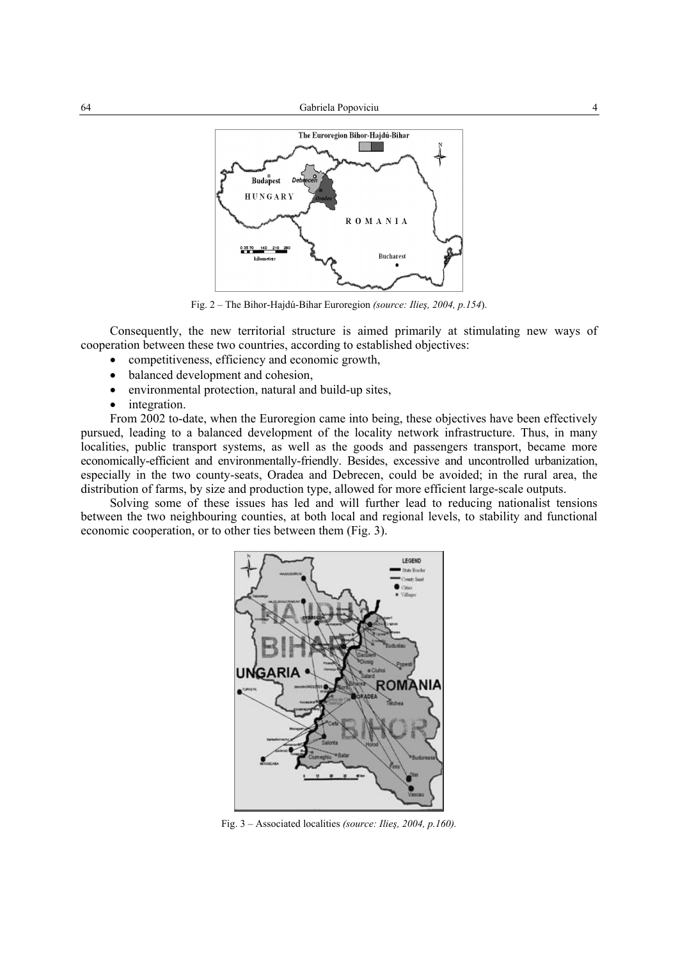

Fig. 2 – The Bihor-Hajdú-Bihar Euroregion *(source: Ilieş, 2004, p.154*).

Consequently, the new territorial structure is aimed primarily at stimulating new ways of cooperation between these two countries, according to established objectives:

- competitiveness, efficiency and economic growth,
- balanced development and cohesion.
- environmental protection, natural and build-up sites,
- integration.

From 2002 to-date, when the Euroregion came into being, these objectives have been effectively pursued, leading to a balanced development of the locality network infrastructure. Thus, in many localities, public transport systems, as well as the goods and passengers transport, became more economically-efficient and environmentally-friendly. Besides, excessive and uncontrolled urbanization, especially in the two county-seats, Oradea and Debrecen, could be avoided; in the rural area, the distribution of farms, by size and production type, allowed for more efficient large-scale outputs.

Solving some of these issues has led and will further lead to reducing nationalist tensions between the two neighbouring counties, at both local and regional levels, to stability and functional economic cooperation, or to other ties between them (Fig. 3).



Fig. 3 – Associated localities *(source: Ilieş, 2004, p.160).*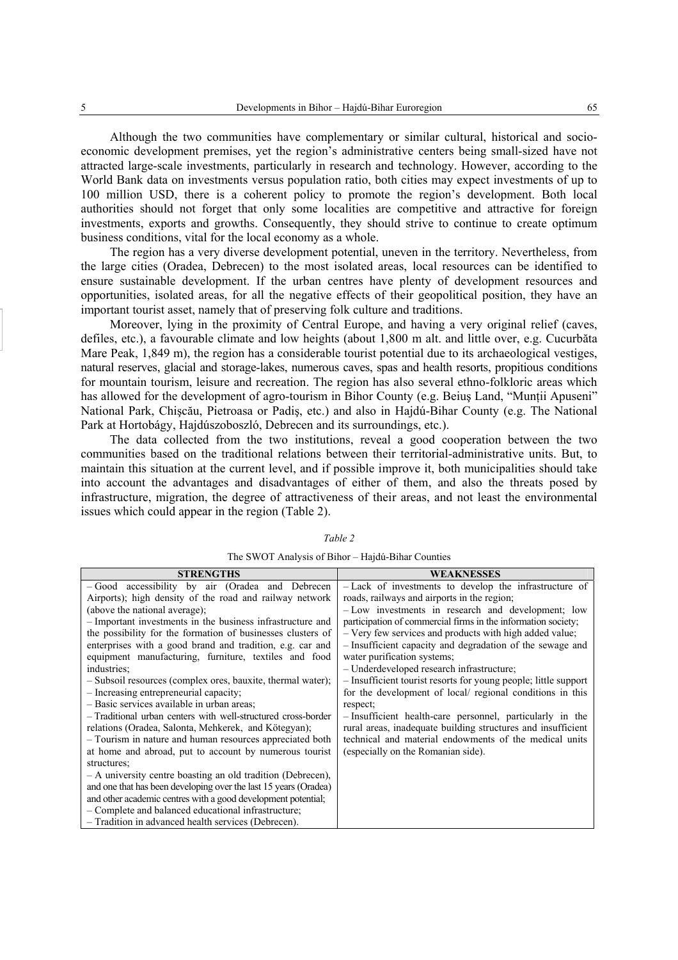Although the two communities have complementary or similar cultural, historical and socioeconomic development premises, yet the region's administrative centers being small-sized have not attracted large-scale investments, particularly in research and technology. However, according to the World Bank data on investments versus population ratio, both cities may expect investments of up to 100 million USD, there is a coherent policy to promote the region's development. Both local authorities should not forget that only some localities are competitive and attractive for foreign investments, exports and growths. Consequently, they should strive to continue to create optimum business conditions, vital for the local economy as a whole.

The region has a very diverse development potential, uneven in the territory. Nevertheless, from the large cities (Oradea, Debrecen) to the most isolated areas, local resources can be identified to ensure sustainable development. If the urban centres have plenty of development resources and opportunities, isolated areas, for all the negative effects of their geopolitical position, they have an important tourist asset, namely that of preserving folk culture and traditions.

Moreover, lying in the proximity of Central Europe, and having a very original relief (caves, defiles, etc.), a favourable climate and low heights (about 1,800 m alt. and little over, e.g. Cucurbăta Mare Peak, 1,849 m), the region has a considerable tourist potential due to its archaeological vestiges, natural reserves, glacial and storage-lakes, numerous caves, spas and health resorts, propitious conditions for mountain tourism, leisure and recreation. The region has also several ethno-folkloric areas which has allowed for the development of agro-tourism in Bihor County (e.g. Beius Land, "Muntii Apuseni" National Park, Chişcău, Pietroasa or Padiş, etc.) and also in Hajdú-Bihar County (e.g. The National Park at Hortobágy, Hajdúszoboszló, Debrecen and its surroundings, etc.).

The data collected from the two institutions, reveal a good cooperation between the two communities based on the traditional relations between their territorial-administrative units. But, to maintain this situation at the current level, and if possible improve it, both municipalities should take into account the advantages and disadvantages of either of them, and also the threats posed by infrastructure, migration, the degree of attractiveness of their areas, and not least the environmental issues which could appear in the region (Table 2).

| <b>STRENGTHS</b>                                                 | <b>WEAKNESSES</b>                                               |  |  |  |
|------------------------------------------------------------------|-----------------------------------------------------------------|--|--|--|
| -Good accessibility by air (Oradea and Debrecen                  | - Lack of investments to develop the infrastructure of          |  |  |  |
| Airports); high density of the road and railway network          | roads, railways and airports in the region;                     |  |  |  |
| (above the national average);                                    | - Low investments in research and development; low              |  |  |  |
| - Important investments in the business infrastructure and       | participation of commercial firms in the information society;   |  |  |  |
| the possibility for the formation of businesses clusters of      | - Very few services and products with high added value;         |  |  |  |
| enterprises with a good brand and tradition, e.g. car and        | - Insufficient capacity and degradation of the sewage and       |  |  |  |
| equipment manufacturing, furniture, textiles and food            | water purification systems;                                     |  |  |  |
| industries:                                                      | - Underdeveloped research infrastructure;                       |  |  |  |
| - Subsoil resources (complex ores, bauxite, thermal water);      | - Insufficient tourist resorts for young people; little support |  |  |  |
| - Increasing entrepreneurial capacity;                           | for the development of local/ regional conditions in this       |  |  |  |
| - Basic services available in urban areas;                       | respect;                                                        |  |  |  |
| - Traditional urban centers with well-structured cross-border    | - Insufficient health-care personnel, particularly in the       |  |  |  |
| relations (Oradea, Salonta, Mehkerek, and Kötegyan);             | rural areas, inadequate building structures and insufficient    |  |  |  |
| - Tourism in nature and human resources appreciated both         | technical and material endowments of the medical units          |  |  |  |
| at home and abroad, put to account by numerous tourist           | (especially on the Romanian side).                              |  |  |  |
| structures;                                                      |                                                                 |  |  |  |
| - A university centre boasting an old tradition (Debrecen),      |                                                                 |  |  |  |
| and one that has been developing over the last 15 years (Oradea) |                                                                 |  |  |  |
| and other academic centres with a good development potential;    |                                                                 |  |  |  |
| - Complete and balanced educational infrastructure;              |                                                                 |  |  |  |
| - Tradition in advanced health services (Debrecen).              |                                                                 |  |  |  |

*Table 2*  The SWOT Analysis of Bihor – Hajdú-Bihar Counties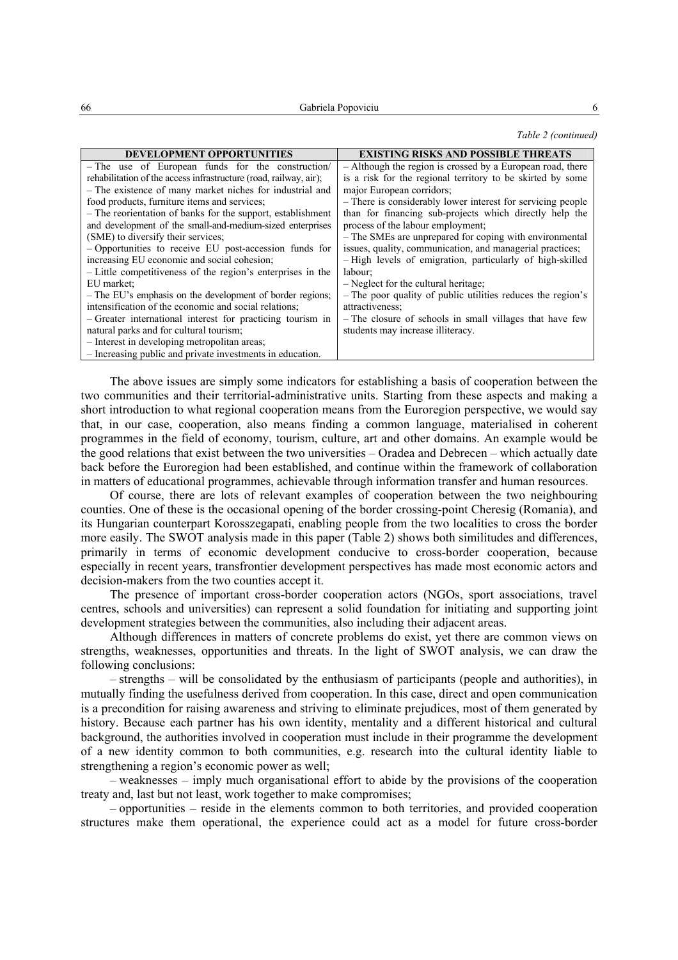### *Table 2 (continued)*

| <b>DEVELOPMENT OPPORTUNITIES</b>                                  | <b>EXISTING RISKS AND POSSIBLE THREATS</b>                  |  |  |
|-------------------------------------------------------------------|-------------------------------------------------------------|--|--|
| - The use of European funds for the construction/                 | - Although the region is crossed by a European road, there  |  |  |
| rehabilitation of the access infrastructure (road, railway, air); | is a risk for the regional territory to be skirted by some  |  |  |
| - The existence of many market niches for industrial and          | major European corridors;                                   |  |  |
| food products, furniture items and services;                      | - There is considerably lower interest for servicing people |  |  |
| - The reorientation of banks for the support, establishment       | than for financing sub-projects which directly help the     |  |  |
| and development of the small-and-medium-sized enterprises         | process of the labour employment;                           |  |  |
| (SME) to diversify their services;                                | - The SMEs are unprepared for coping with environmental     |  |  |
| - Opportunities to receive EU post-accession funds for            | issues, quality, communication, and managerial practices;   |  |  |
| increasing EU economic and social cohesion;                       | - High levels of emigration, particularly of high-skilled   |  |  |
| - Little competitiveness of the region's enterprises in the       | labour:                                                     |  |  |
| EU market:                                                        | - Neglect for the cultural heritage;                        |  |  |
| - The EU's emphasis on the development of border regions;         | - The poor quality of public utilities reduces the region's |  |  |
| intensification of the economic and social relations;             | attractiveness:                                             |  |  |
| - Greater international interest for practicing tourism in        | - The closure of schools in small villages that have few    |  |  |
| natural parks and for cultural tourism;                           | students may increase illiteracy.                           |  |  |
| - Interest in developing metropolitan areas;                      |                                                             |  |  |
| - Increasing public and private investments in education.         |                                                             |  |  |

The above issues are simply some indicators for establishing a basis of cooperation between the two communities and their territorial-administrative units. Starting from these aspects and making a short introduction to what regional cooperation means from the Euroregion perspective, we would say that, in our case, cooperation, also means finding a common language, materialised in coherent programmes in the field of economy, tourism, culture, art and other domains. An example would be the good relations that exist between the two universities – Oradea and Debrecen – which actually date back before the Euroregion had been established, and continue within the framework of collaboration in matters of educational programmes, achievable through information transfer and human resources.

Of course, there are lots of relevant examples of cooperation between the two neighbouring counties. One of these is the occasional opening of the border crossing-point Cheresig (Romania), and its Hungarian counterpart Korosszegapati, enabling people from the two localities to cross the border more easily. The SWOT analysis made in this paper (Table 2) shows both similitudes and differences, primarily in terms of economic development conducive to cross-border cooperation, because especially in recent years, transfrontier development perspectives has made most economic actors and decision-makers from the two counties accept it.

The presence of important cross-border cooperation actors (NGOs, sport associations, travel centres, schools and universities) can represent a solid foundation for initiating and supporting joint development strategies between the communities, also including their adjacent areas.

Although differences in matters of concrete problems do exist, yet there are common views on strengths, weaknesses, opportunities and threats. In the light of SWOT analysis, we can draw the following conclusions:

– strengths – will be consolidated by the enthusiasm of participants (people and authorities), in mutually finding the usefulness derived from cooperation. In this case, direct and open communication is a precondition for raising awareness and striving to eliminate prejudices, most of them generated by history. Because each partner has his own identity, mentality and a different historical and cultural background, the authorities involved in cooperation must include in their programme the development of a new identity common to both communities, e.g. research into the cultural identity liable to strengthening a region's economic power as well;

– weaknesses – imply much organisational effort to abide by the provisions of the cooperation treaty and, last but not least, work together to make compromises;

– opportunities – reside in the elements common to both territories, and provided cooperation structures make them operational, the experience could act as a model for future cross-border